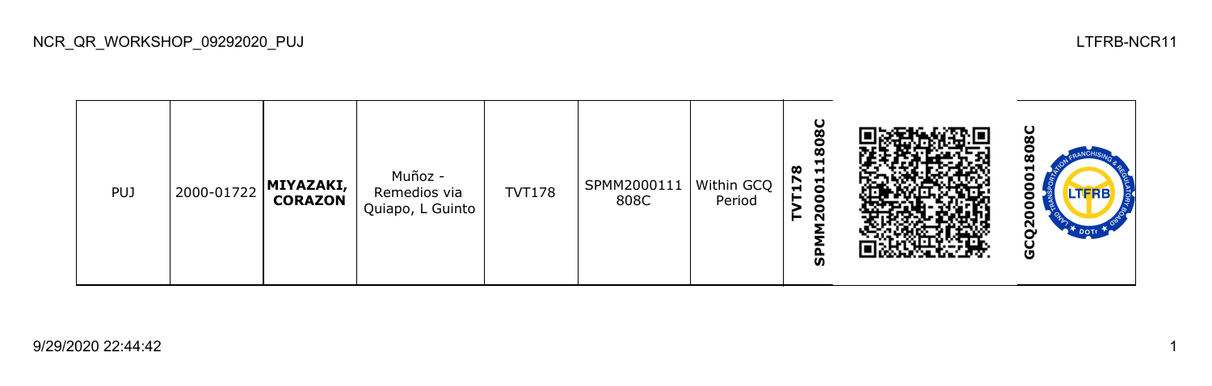| <b>PUJ</b> | 2000-01722 | MIYAZAKI,<br>  CORAZON | Muñoz -<br>Remedios via<br>Quiapo, L Guinto | <b>TVT178</b> | SPMM2000111<br>808C | Within GCQ<br>Period | 8C<br>င္စ<br>œ<br>$\blacksquare$<br>$\blacksquare$<br>$\overline{5}$<br>$\blacksquare$<br>0<br>$\circ$<br>$\sim$<br>ັທ |  | ပ<br>œ<br>⊣<br>о<br>J<br><b>LTFRB</b><br>о<br>Ξ<br>o<br>ี<br>O |
|------------|------------|------------------------|---------------------------------------------|---------------|---------------------|----------------------|------------------------------------------------------------------------------------------------------------------------|--|----------------------------------------------------------------|
|------------|------------|------------------------|---------------------------------------------|---------------|---------------------|----------------------|------------------------------------------------------------------------------------------------------------------------|--|----------------------------------------------------------------|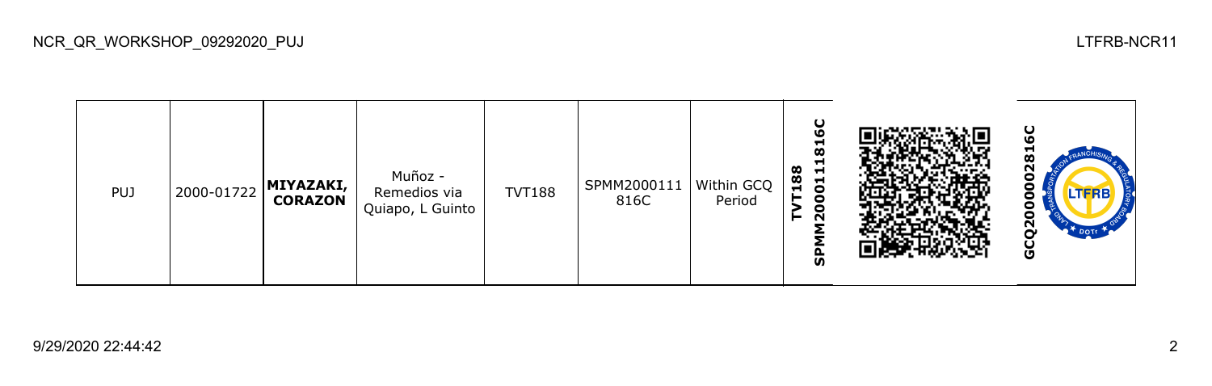$\mathbf C$ **SPMM2000111816C GCQ2000002816CTVT188<br>SPMM2000111816** ี Muñoz - 0000 PUJ 2000-01722 **MIYAZAKI,**  TVT188 SPMM2000111 Within GCQ Remedios via **CORAZON** 816C Period Quiapo, L Guinto GCQ20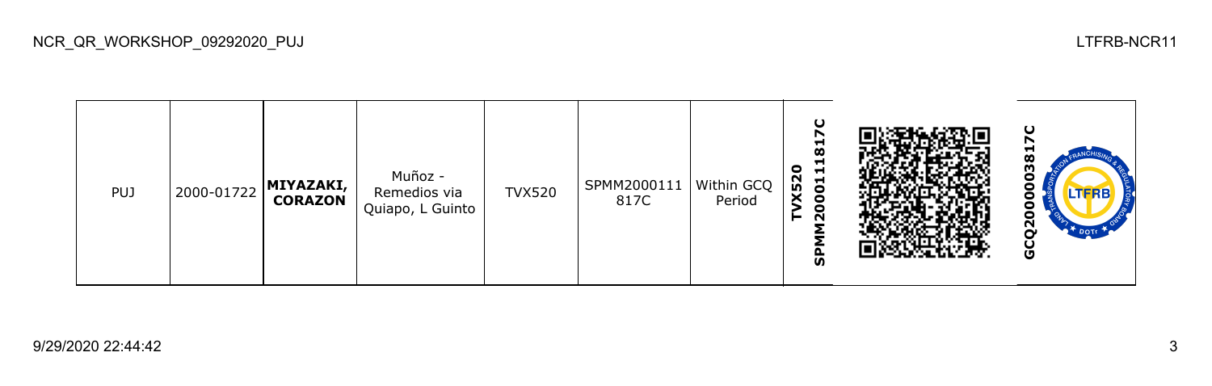## **SPMM2000111817C GCQ2000003817C**TVX520<br>SPMM2000111817 M Muñoz - 0000 PUJ 2000-01722 **MIYAZAKI,**  TVX520 SPMM2000111 Within GCQ Remedios via **CORAZON** 817C Period Quiapo, L Guinto Ξ GCQ<sub>2</sub>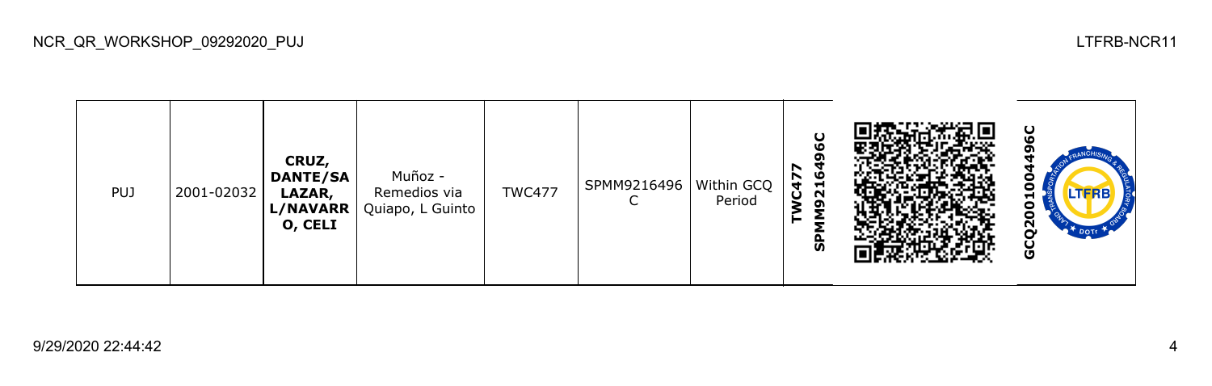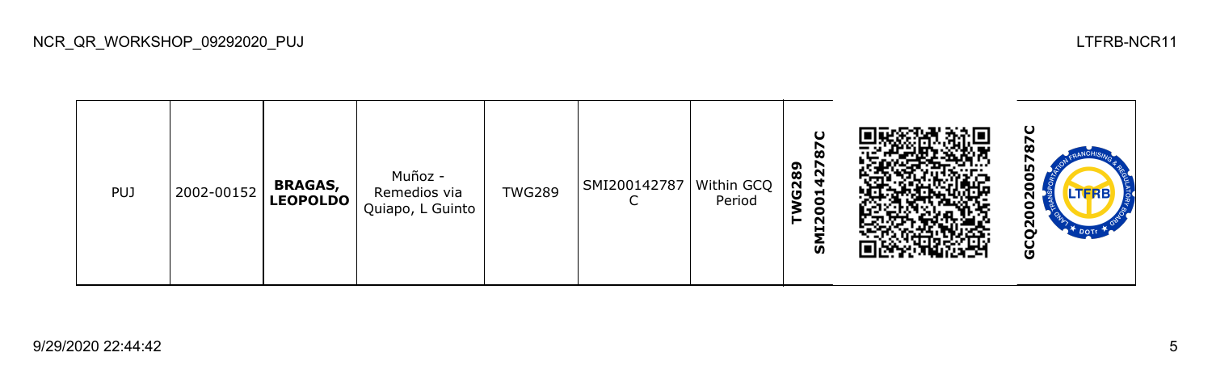**GCQ2002005787C**SMI200142787 **TWG289** Muñoz - Ο PUJ 2002-00152 **BRAGAS,**  TWG289 SMI200142787 Within GCQ  $020$ Remedios via **LEOPOLDO**  $\mathsf{C}$ Period Quiapo, L Guinto GCQ20

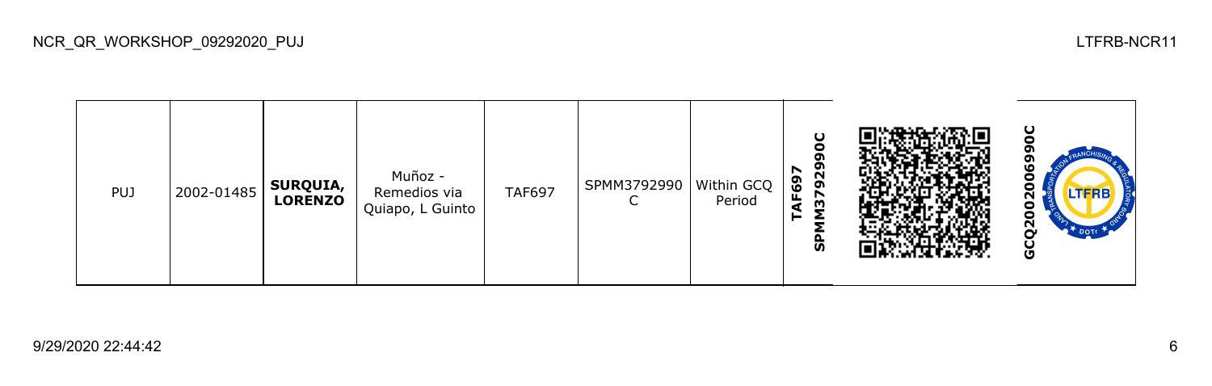| <b>PUJ</b> | 2002-01485 | SURQUIA,<br>LORENZO | Muñoz -<br>Remedios via<br>Quiapo, L Guinto | <b>TAF697</b> | SPMM3792990 | Within GCQ<br>Period | 929<br>r<br>AF69<br>$\overline{3}$<br>►<br>ັທ |  | ပ<br><u>გ</u><br>O |
|------------|------------|---------------------|---------------------------------------------|---------------|-------------|----------------------|-----------------------------------------------|--|--------------------|
|------------|------------|---------------------|---------------------------------------------|---------------|-------------|----------------------|-----------------------------------------------|--|--------------------|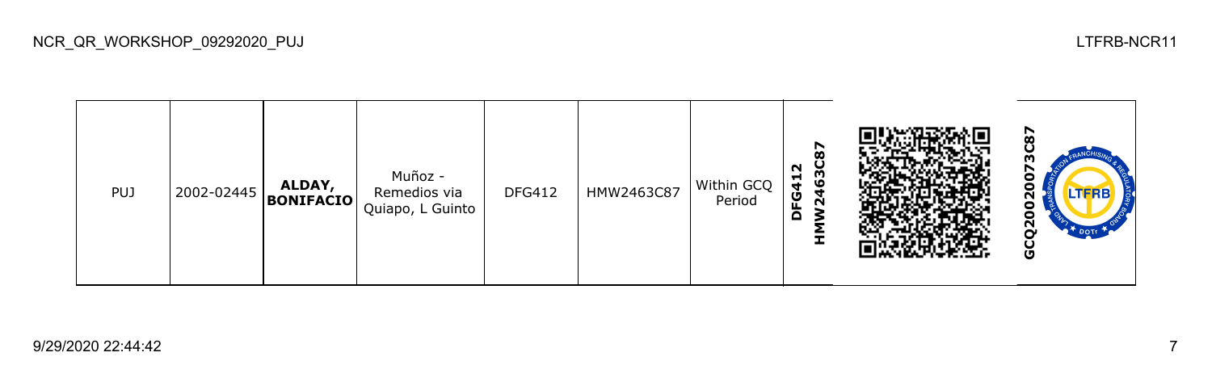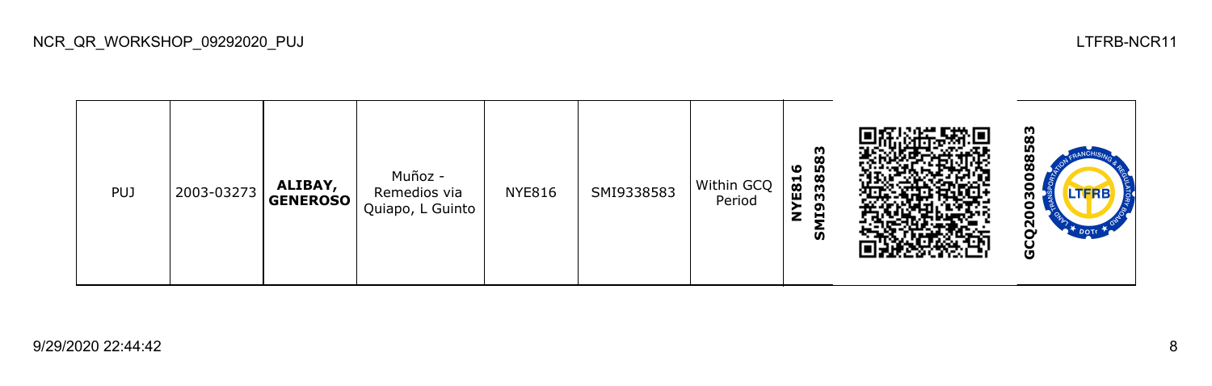**GCQ20030088583**8583 **SMI9338583 NYE816** 003008 Muñoz - PUJ 2003-03273 **ALIBAY,**  NYE816 SMI9338583 Within GCQ Remedios via **GENEROSO** Period Quiapo, L Guinto GCQ<sub>2</sub>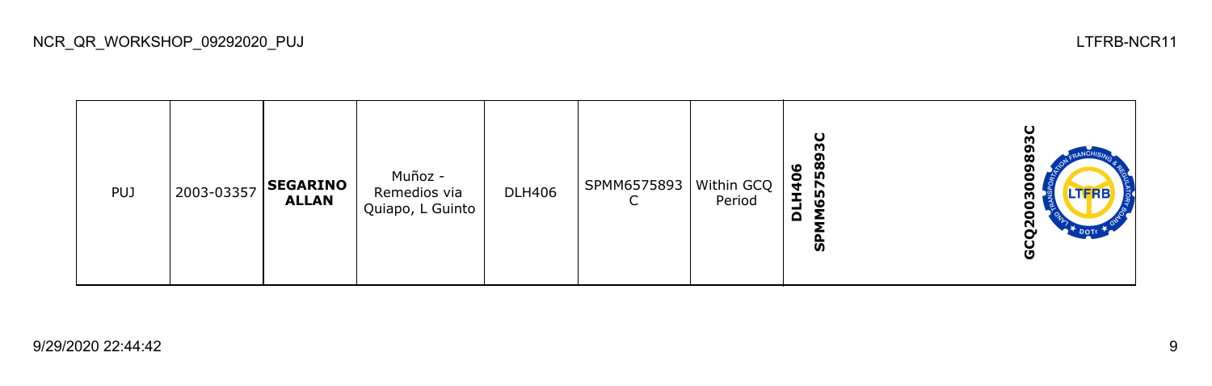**GCQ2003009893CSPMM6575893C** ິທີ GCQ20030098 **DLH406** Muñoz - PUJ 2003-03357 **SEGARINO**  DLH406 SPMM6575893 Within GCQ Remedios via **ALLAN** C Period Quiapo, L Guinto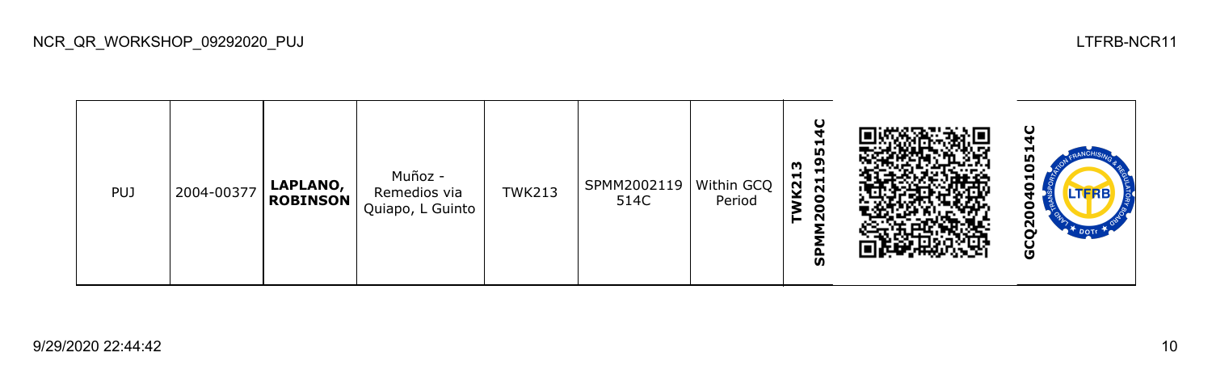**SPMM2002119514C GCQ2004010514C**TWK213<br>SPMM200211951 0 Muñoz - PUJ 2004-00377 **LAPLANO,**  TWK213 SPMM2002119 Within GCQ Ξ Remedios via **ROBINSON** 514C Period Quiapo, L Guinto 0 GCQ200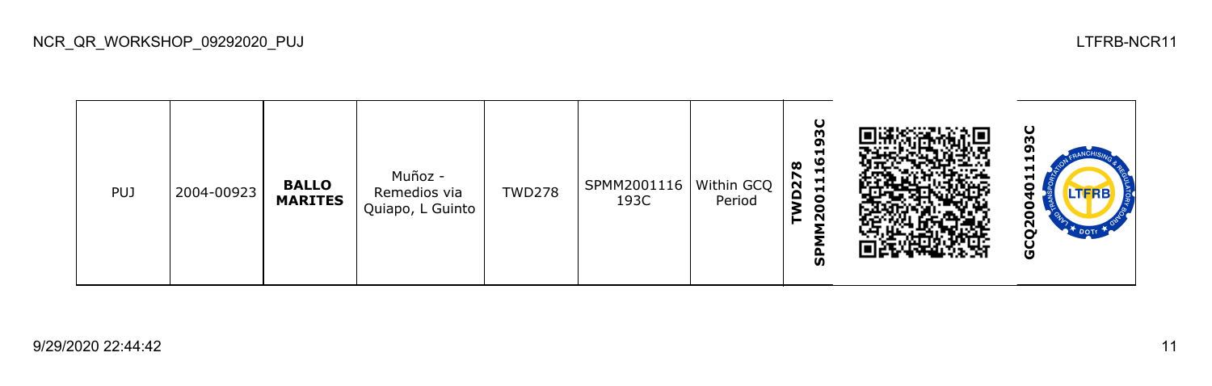| <b>PUJ</b> | 2004-00923 | <b>BALLO</b><br><b>MARITES</b> | Muñoz -<br>Remedios via<br>Quiapo, L Guinto | <b>TWD278</b> | SPMM2001116   Within GCQ<br>193C | Period | ပ<br>m<br>ᡡ<br>Н<br>ဖ<br>œ<br>Ħ<br>r<br>$\mathbf{1}$<br>$\mathbf{\bar{N}}$<br>$\Omega$<br>$\bullet$<br>$\overline{20}$<br>ჭ |  | ပ<br>ო<br>o<br>−<br>−<br>⊣<br>Ο<br>.TFRB<br>9<br>o<br>$\overline{2}$<br>$\bullet$ DOTT<br>ט |
|------------|------------|--------------------------------|---------------------------------------------|---------------|----------------------------------|--------|-----------------------------------------------------------------------------------------------------------------------------|--|---------------------------------------------------------------------------------------------|
|------------|------------|--------------------------------|---------------------------------------------|---------------|----------------------------------|--------|-----------------------------------------------------------------------------------------------------------------------------|--|---------------------------------------------------------------------------------------------|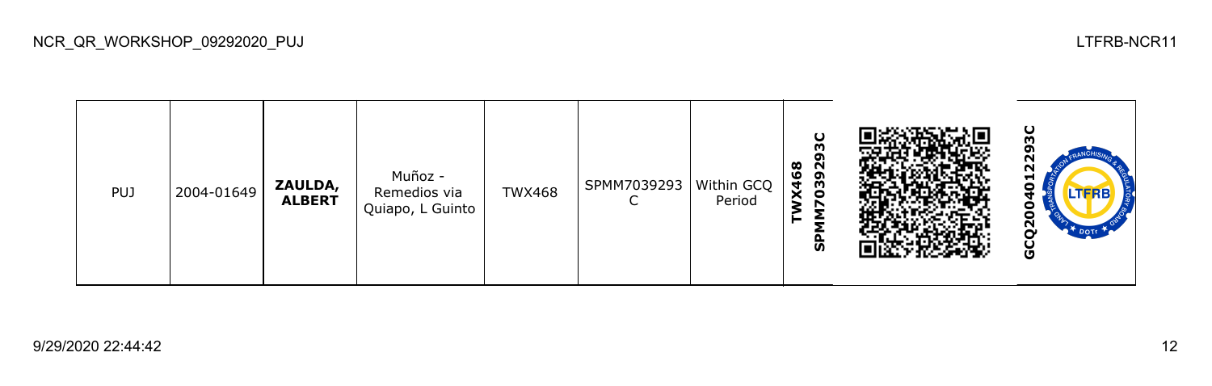| <b>PUJ</b> | 2004-01649 | ZAULDA,<br><b>ALBERT</b> | Muñoz -<br>Remedios via<br>Quiapo, L Guinto | <b>TWX468</b> | SPMM7039293   Within GCQ | Period | O<br>ო<br>o<br><b>X468</b><br>0392<br>↖<br>ჭ |  | ပ<br>m<br>N<br>N<br>⊣<br>LTFRB<br>o<br>o<br>$\sim$<br>O |
|------------|------------|--------------------------|---------------------------------------------|---------------|--------------------------|--------|----------------------------------------------|--|---------------------------------------------------------|
|------------|------------|--------------------------|---------------------------------------------|---------------|--------------------------|--------|----------------------------------------------|--|---------------------------------------------------------|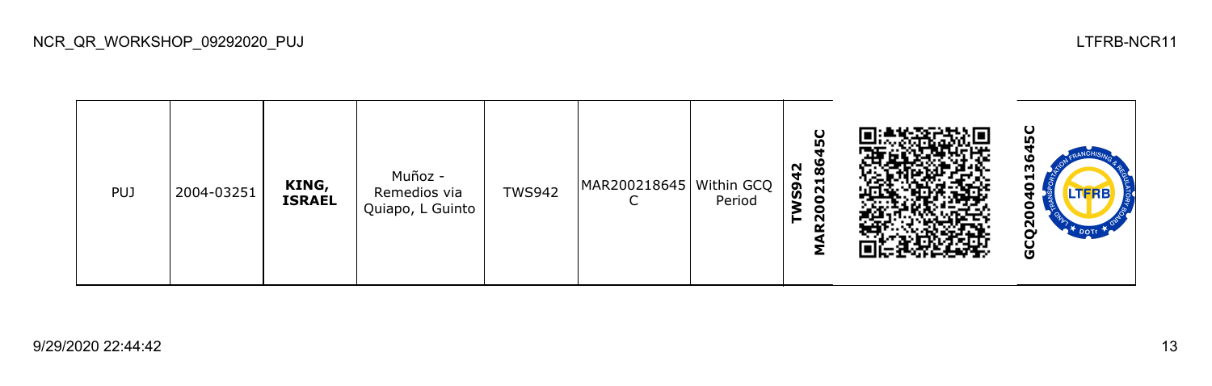**GCQ2004013645CMAR200218645C TWS942** Muñoz - PUJ 2004-03251 **KING,**  TWS942 MAR200218645 Within GCQ c Remedios via **ISRAEL**  $\mathsf{C}$ Period Quiapo, L Guinto 0 GCQ20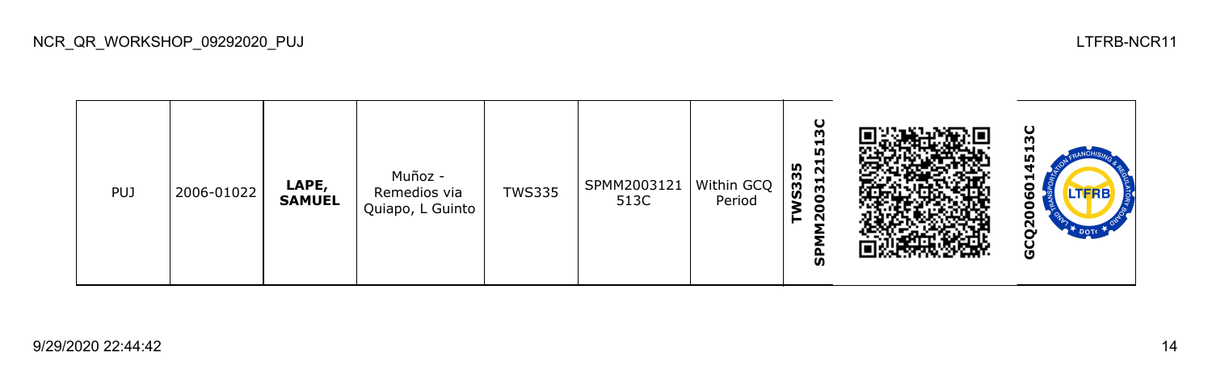

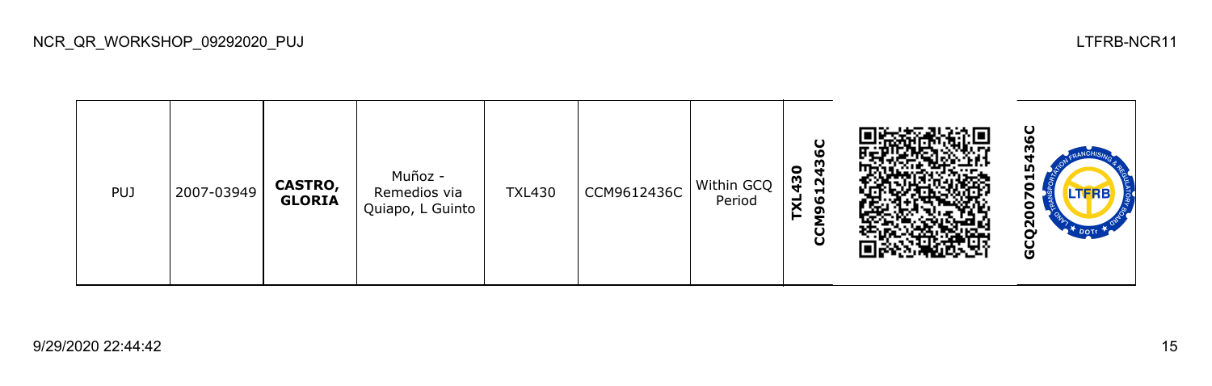ပ္စ **GCQ2007015436CCCM9612436C** m **TXL430** Muñoz - PUJ 2007-03949 **CASTRO,**  TXL430 CCM9612436C Within GCQ 070 Remedios via **GLORIA** Period Quiapo, L Guinto GCQ20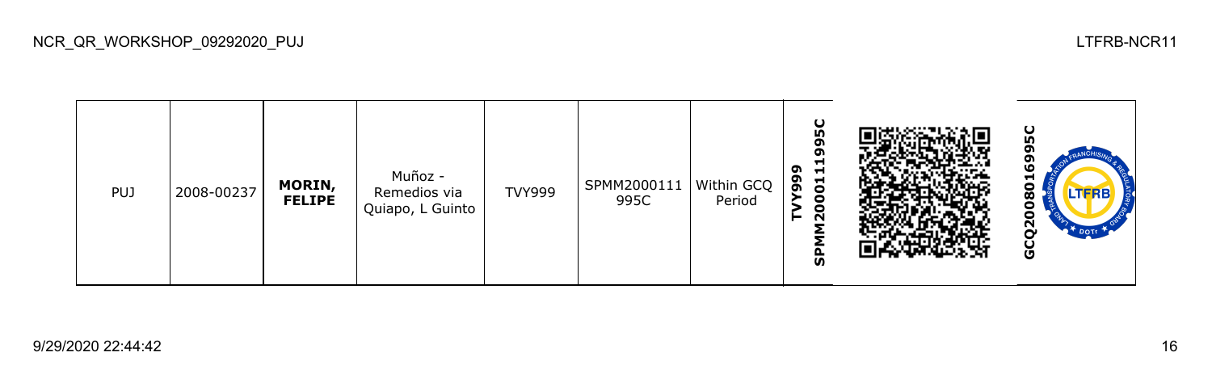| <b>PUJ</b> | 2008-00237 | MORIN,<br><b>FELIPE</b> | Muñoz -<br>Remedios via<br>Quiapo, L Guinto | <b>TVY999</b> | SPMM2000111<br>995C | Within GCQ  <br>Period | ပ္စ<br>ິຕ<br>o<br>Ħ<br>ຶ<br>Н<br>99<br>$\overline{5}$<br>0<br>$\overline{5}$<br>ჭ |  | ပ္ပ<br>oı<br>o<br>o<br>u<br>o<br><b>LTFRB</b><br>œ<br>o<br>0<br>$\overline{2}$<br>DOTT<br>မ္ပ |
|------------|------------|-------------------------|---------------------------------------------|---------------|---------------------|------------------------|-----------------------------------------------------------------------------------|--|-----------------------------------------------------------------------------------------------|
|------------|------------|-------------------------|---------------------------------------------|---------------|---------------------|------------------------|-----------------------------------------------------------------------------------|--|-----------------------------------------------------------------------------------------------|

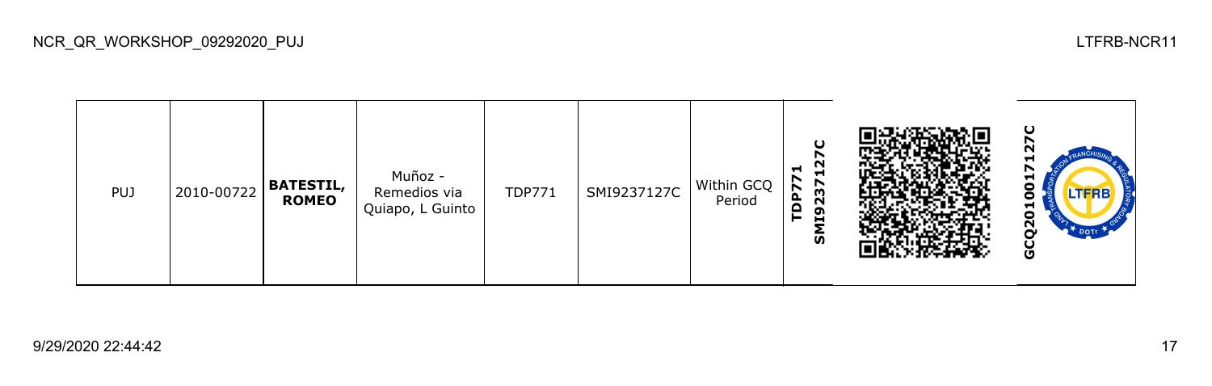

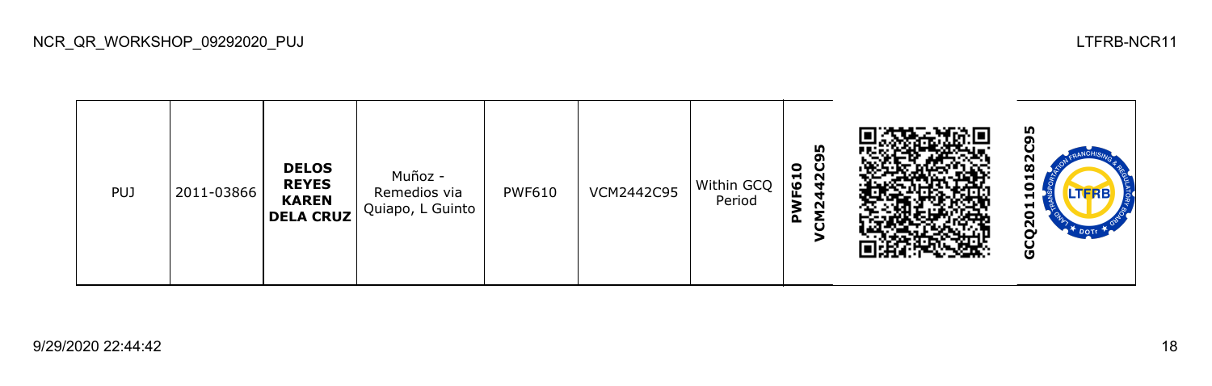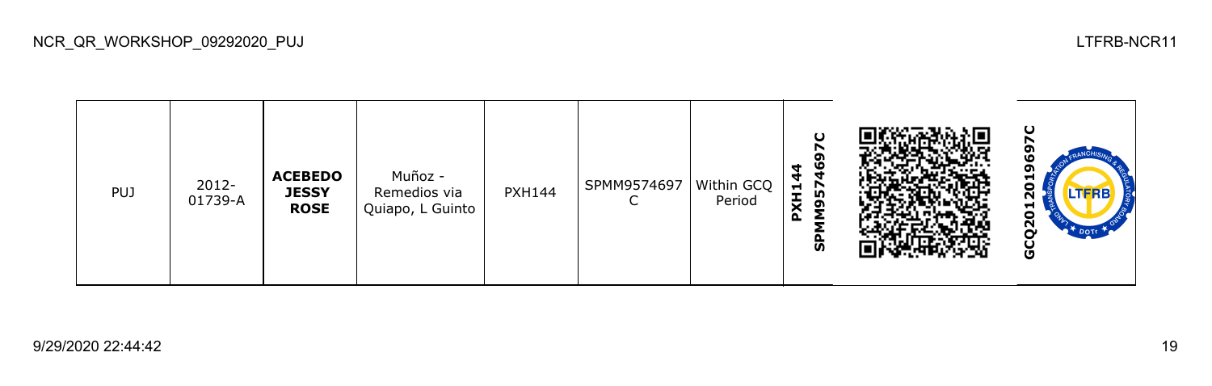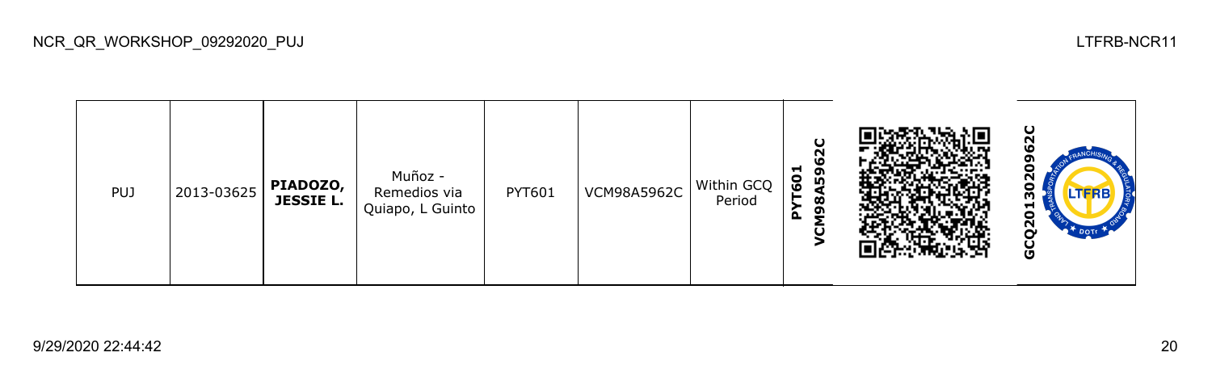**GCQ2013020962C**ິດ **VCM98A5962C PYT601** 0 Muñoz - 302 PUJ 2013-03625 **PIADOZO,**  PYT601 | VCM98A5962C | Within GCQ Remedios via **JESSIE L.** Period Quiapo, L Guinto GCQ20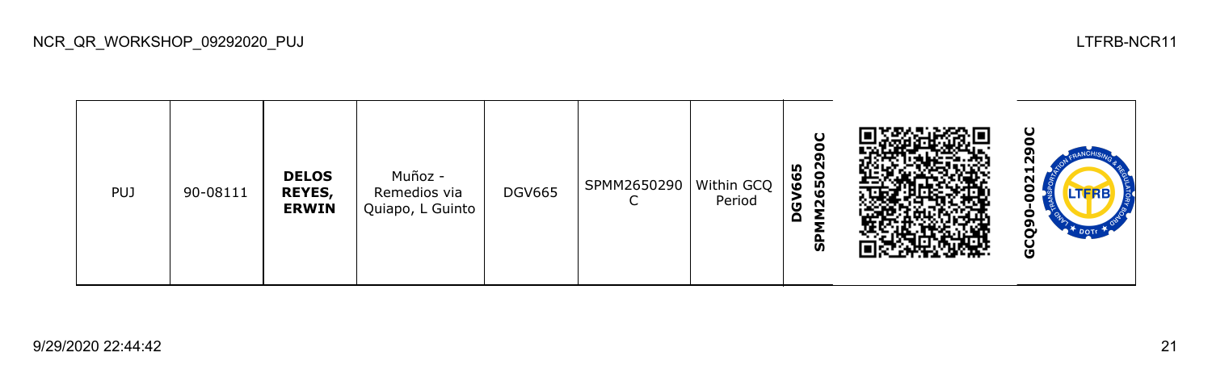| <b>PUJ</b> | 90-08111 | <b>DELOS</b><br><b>REYES,</b><br><b>ERWIN</b> | Muñoz -<br>Remedios via<br>Quiapo, L Guinto | <b>DGV665</b> | SPMM2650290<br>∼ | Within GCQ<br>Period | O<br>0<br>ຸດ<br>502<br>665<br>٥<br><u>چ</u><br>$\overline{\mathbf{z}}$<br>o<br>င္ဟ |  | ပ<br>N<br>−<br>$\sim$<br>J<br>J<br>o<br>o<br>DOTT<br>י<br>မ္ပ |
|------------|----------|-----------------------------------------------|---------------------------------------------|---------------|------------------|----------------------|------------------------------------------------------------------------------------|--|---------------------------------------------------------------|
|------------|----------|-----------------------------------------------|---------------------------------------------|---------------|------------------|----------------------|------------------------------------------------------------------------------------|--|---------------------------------------------------------------|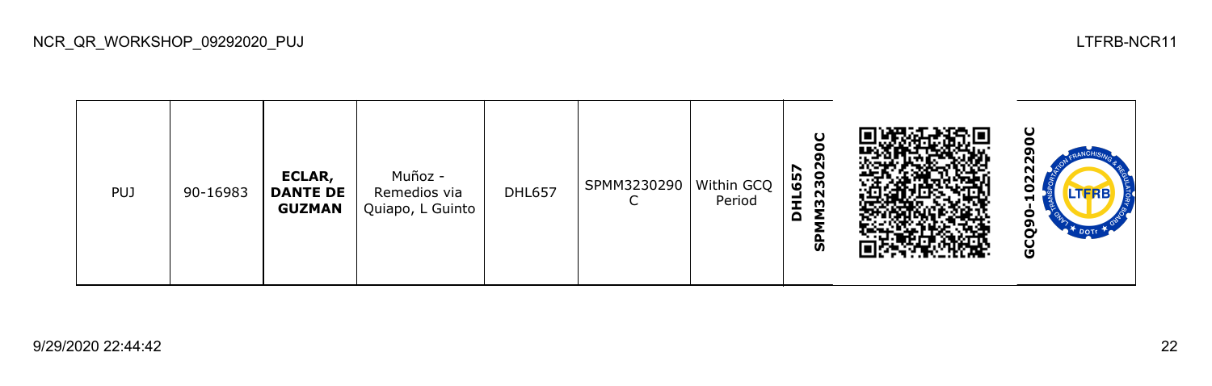| <b>PUJ</b> | 90-16983 | ECLAR,<br><b>DANTE DE</b><br><b>GUZMAN</b> | Muñoz -<br>Remedios via<br>Quiapo, L Guinto | <b>DHL657</b> | SPMM3230290<br>⌒ | Within GCQ<br>Period | O<br>e<br>თ<br><b>M32302</b><br>657<br>륖<br>Δ<br>င္ဟ |  | ပ<br>oı<br>22<br>TFRB.<br>-<br>o<br>ຫ<br>မ္ပ |
|------------|----------|--------------------------------------------|---------------------------------------------|---------------|------------------|----------------------|------------------------------------------------------|--|----------------------------------------------|
|------------|----------|--------------------------------------------|---------------------------------------------|---------------|------------------|----------------------|------------------------------------------------------|--|----------------------------------------------|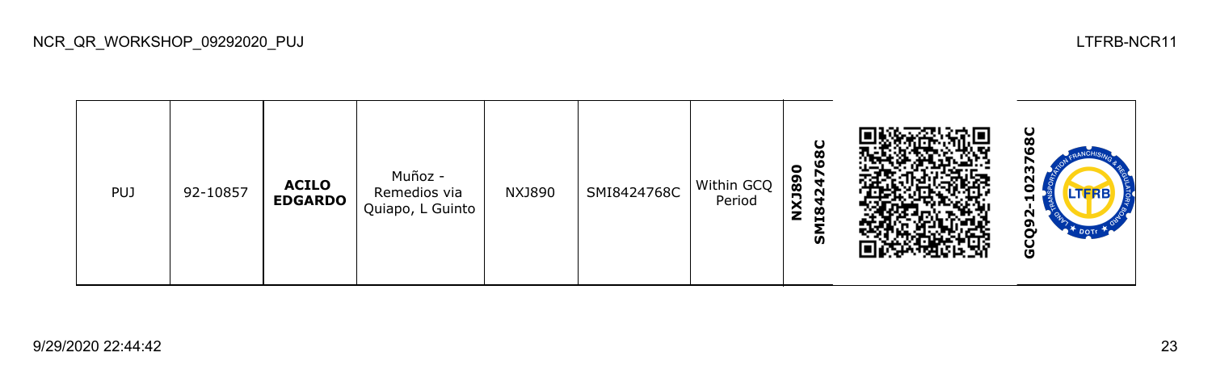68C **GCQ92-1023768CSMI8424768C NXJ890** m Muñoz - 20 PUJ 92-10857 **ACILO**  NXJ890 SMI8424768C Within GCQ Remedios via **EDGARDO** Period Quiapo, L Guinto GCQ92-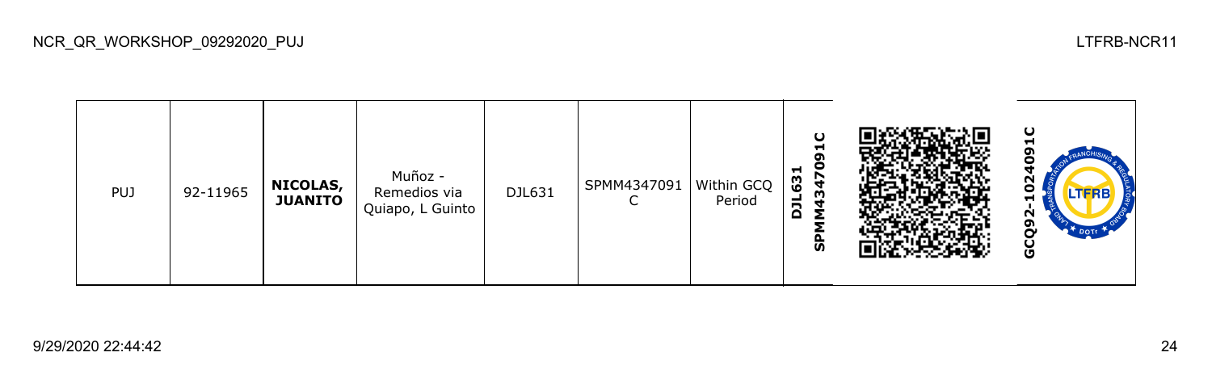| <b>PUJ</b> | 92-11965 | NICOLAS,<br><b>JUANITO</b> | Muñoz -<br>Remedios via<br>Quiapo, L Guinto | DJL631 | SPMM4347091<br>֊ | Within GCQ<br>Period | U<br>Н<br>໑<br>c<br>ы<br>63<br>m<br>٠<br>ā<br>င္ဟ |  | ပ<br>−<br>N<br>о<br><b>LTFRB</b><br>Ħ<br>Ν<br>o<br>Ū |
|------------|----------|----------------------------|---------------------------------------------|--------|------------------|----------------------|---------------------------------------------------|--|------------------------------------------------------|
|------------|----------|----------------------------|---------------------------------------------|--------|------------------|----------------------|---------------------------------------------------|--|------------------------------------------------------|

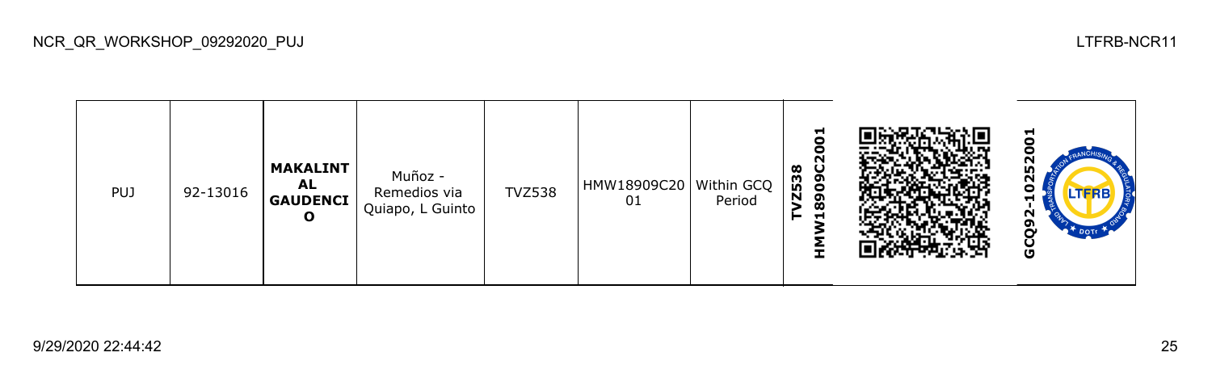TVZ538<br>HMW18909C2001 **HMW18909C2001 GCQ92-10252001**0  $\bullet$ Ñ **MAKALINT** L. Muñoz - **AL**  TVZ538 HMW18909C20 Within GCQ PUJ 92-13016 Remedios via 0 **GAUDENCI** 01 Period Ħ Quiapo, L Guinto GCQ92-**O**

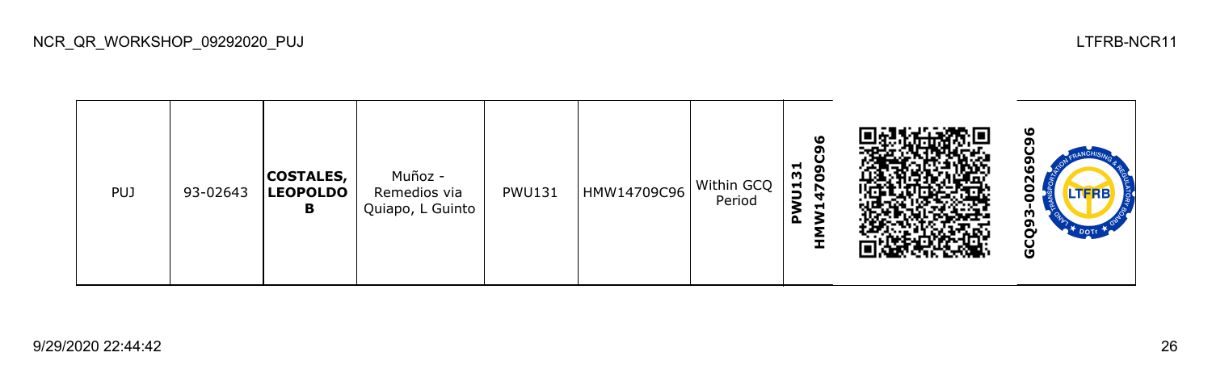| <b>PUJ</b> | 93-02643 | <b>COSTALES,</b><br><b>LEOPOLDO</b><br>в | Muñoz -<br>Remedios via<br>Quiapo, L Guinto | <b>PWU131</b> | HMW14709C96 | Within GCQ<br>Period | ۱O<br>o<br>⊣<br>602<br>WU13<br>−<br>௳<br><b>I</b> |  | ۱O<br>۹<br>Ν<br>Ο<br><b>LTFRB</b><br>m<br>o<br>မိ |
|------------|----------|------------------------------------------|---------------------------------------------|---------------|-------------|----------------------|---------------------------------------------------|--|---------------------------------------------------|
|------------|----------|------------------------------------------|---------------------------------------------|---------------|-------------|----------------------|---------------------------------------------------|--|---------------------------------------------------|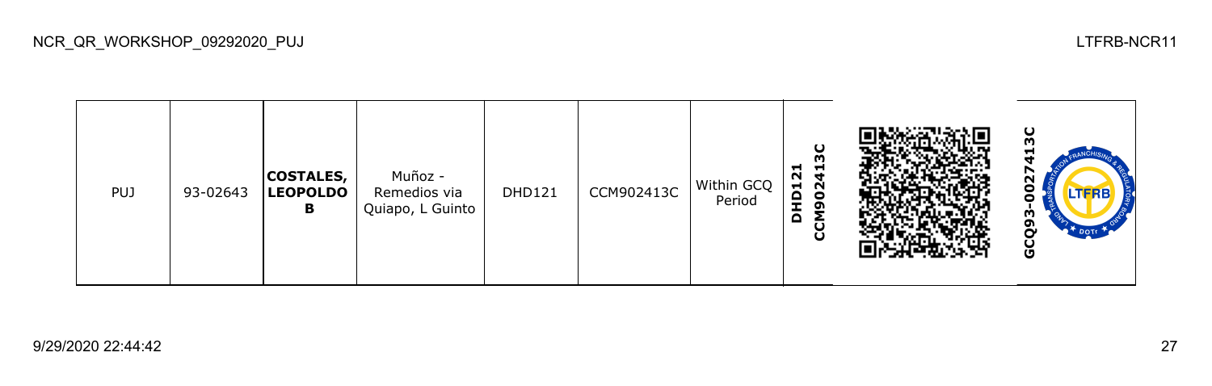ပ္က **GCQ93-0027413CCCM902413C DHD121 COSTALES,**  Muñoz - DHD121  $\Big|$  CCM902413C Within GCQ ខ្លួ PUJ 93-02643 **LEOPOLDO**  Remedios via Period Quiapo, L Guinto **B** GCQ93

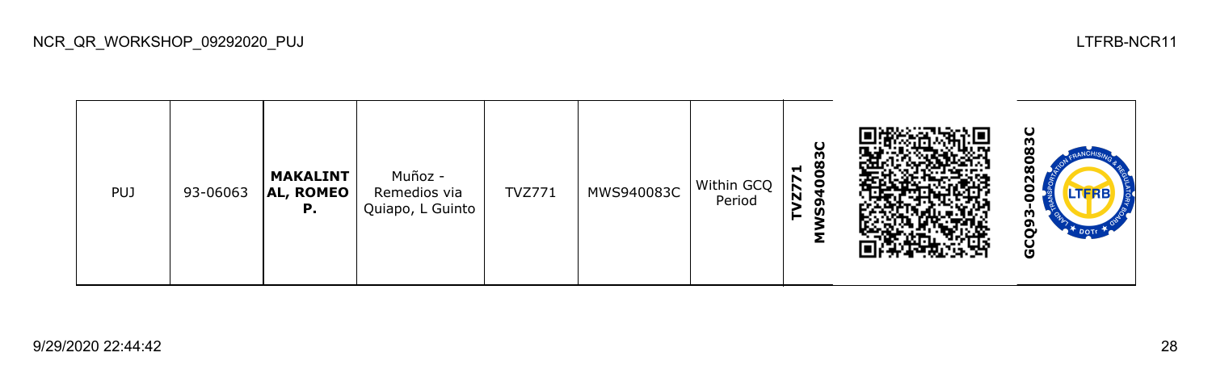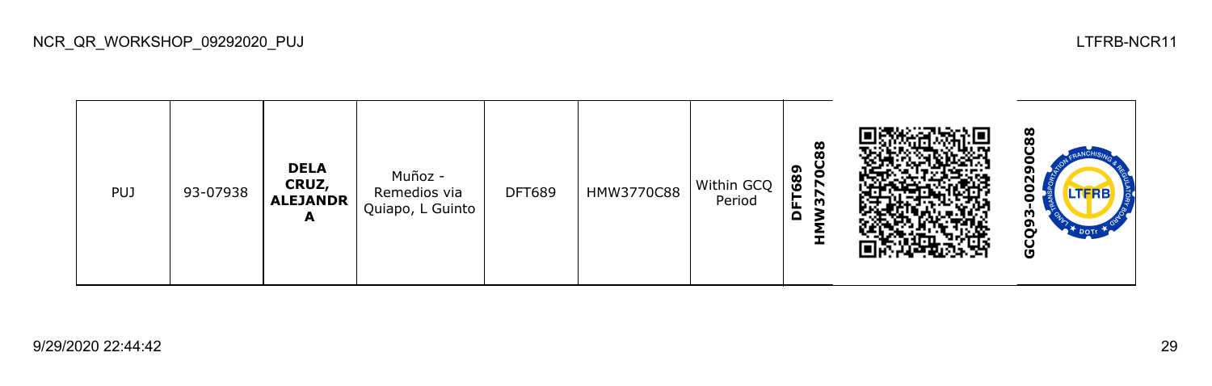

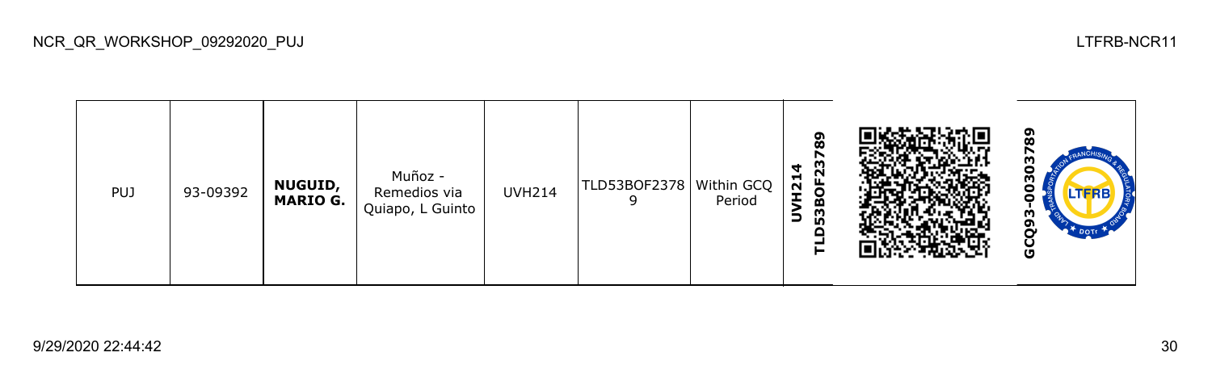**GCQ93-00303789TLD53BOF23789** r 303 **UVH214** Muñoz - PUJ 93-09392 **NUGUID,**  UVH214 TLD53BOF2378 Within GCQ Remedios via 8 **MARIO G.** Period 9 Quiapo, L Guinto m GCQ9: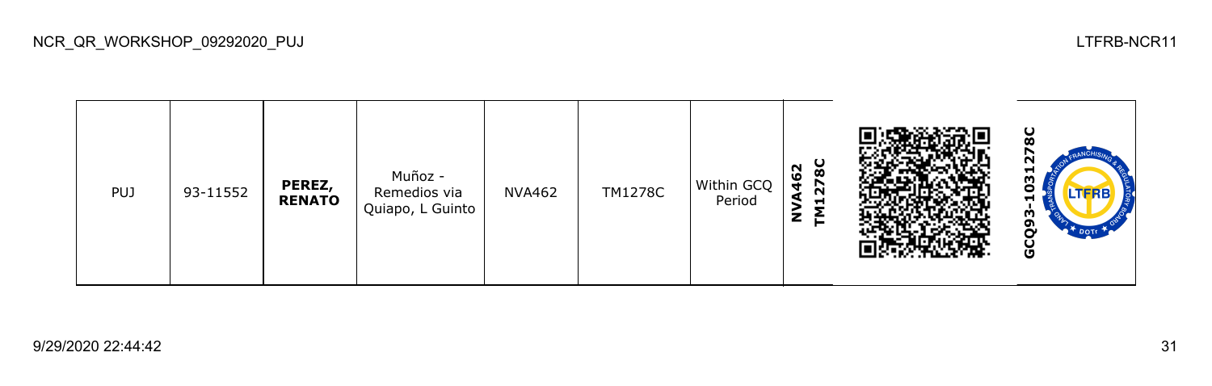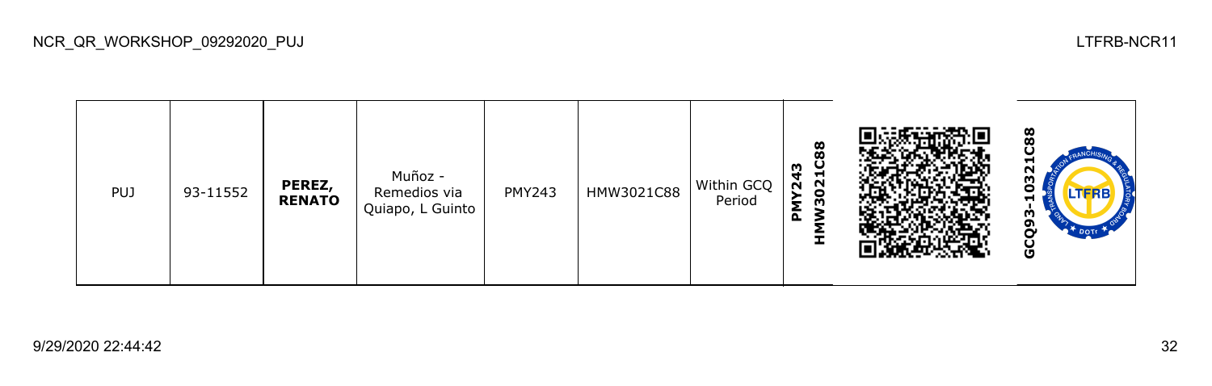<u>ထိ</u> **GCQ93-10321C88HMW3021C88 PMY243**  $\mathbf{\Omega}$ Muñoz - PUJ 93-11552 **PEREZ,**  PMY243 HMW3021C88 Within GCQ  $\frac{2}{3}$ Remedios via **RENATO** Period Quiapo, L Guinto GCQ93-

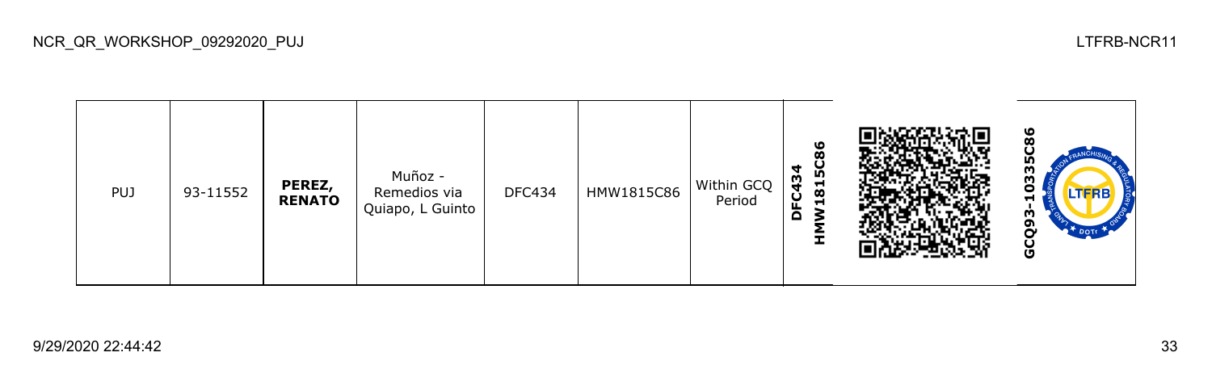<u>ဖွ</u> **GCQ93-10335C86HMW1815C86 DFC434** m Muñoz - DFC434 HMW1815C86 Within GCQ PUJ 93-11552 **PEREZ,**  ຽ Remedios via **RENATO** Period Quiapo, L Guinto GCQ93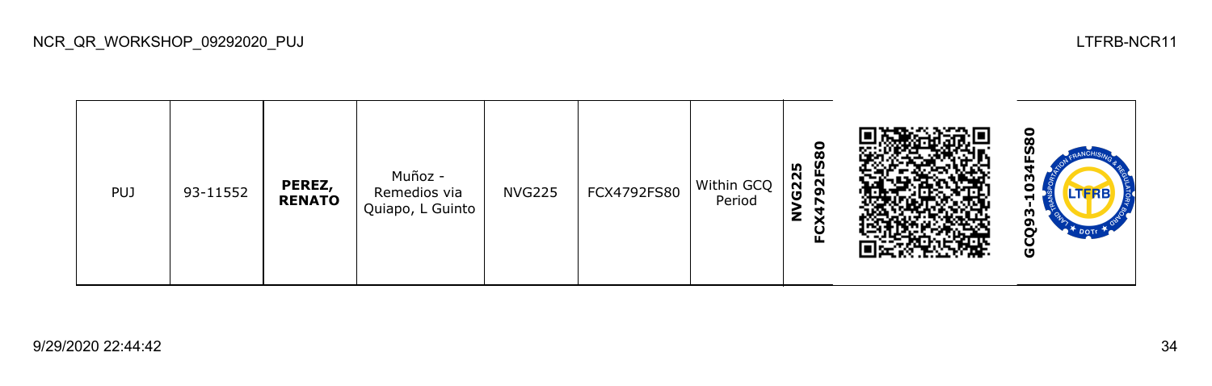ខ្លី **GCQ93-1034FS80FCX4792FS80 NVG225** Muñoz - PUJ 93-11552 **PEREZ,**  NVG225 FCX4792FS80 Within GCQ Remedios via Ο **RENATO** Period Quiapo, L Guinto GCQ93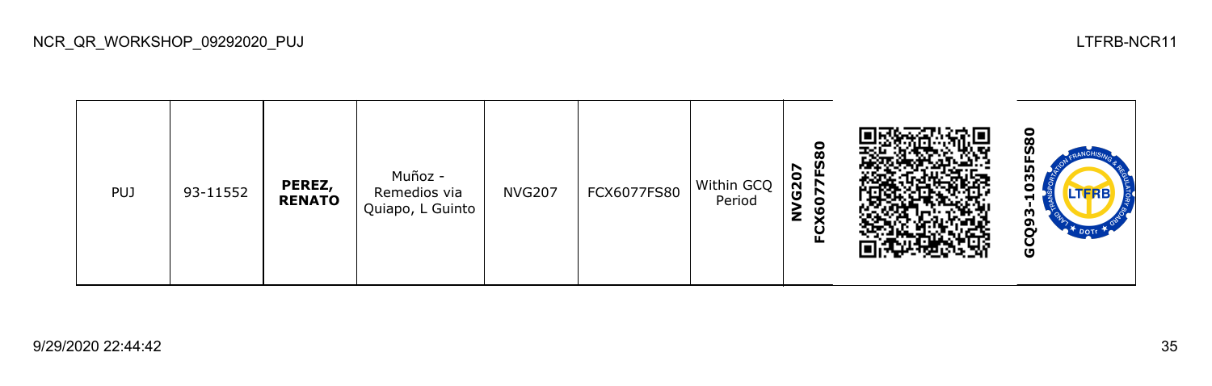<u>အ</u> **GCQ93-1035FS80FCX6077FS80 NVG207** Muñoz - M PUJ 93-11552 **PEREZ,**  NVG207 FCX6077FS80 Within GCQ Remedios via c **RENATO** Period Quiapo, L Guinto GCQ93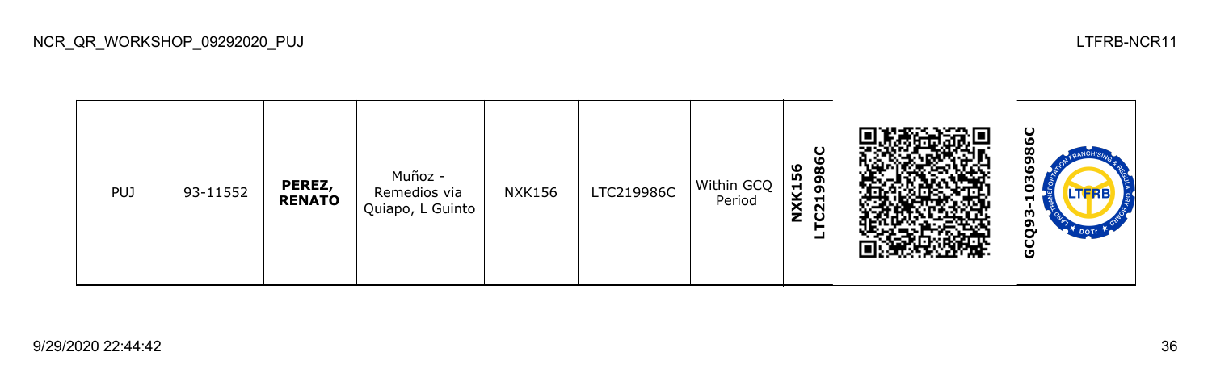986C **GCQ93-1036986CLTC219986C NXK156** Ō Muñoz - PUJ 93-11552 **PEREZ,**  NXK156 LTC219986C Within GCQ ငိ Remedios via **RENATO** Period Quiapo, L Guinto GCQ93

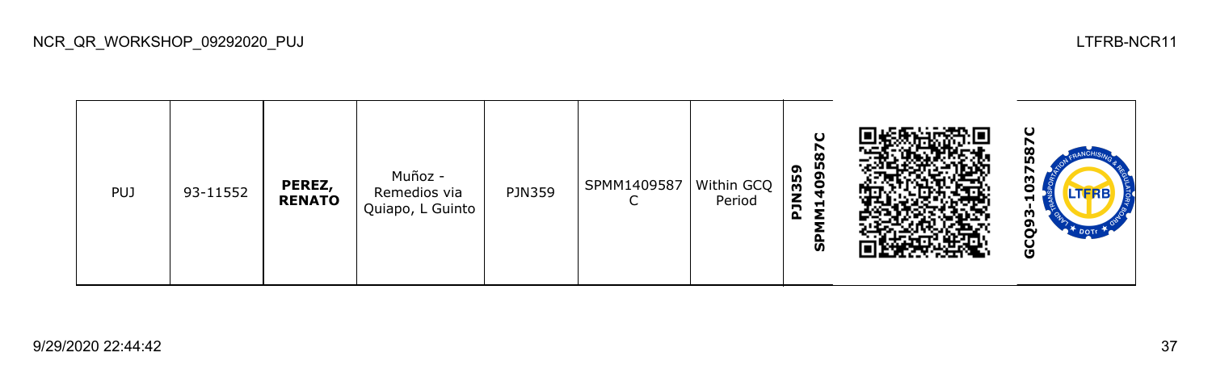587C **GCQ93-1037587CSPMM1409587C PJN359** Muñoz - N PUJ 93-11552 **PEREZ,**  PJN359 | SPMM1409587 Within GCQ ငိ Remedios via **RENATO** Period C H Quiapo, L Guinto GCQ93-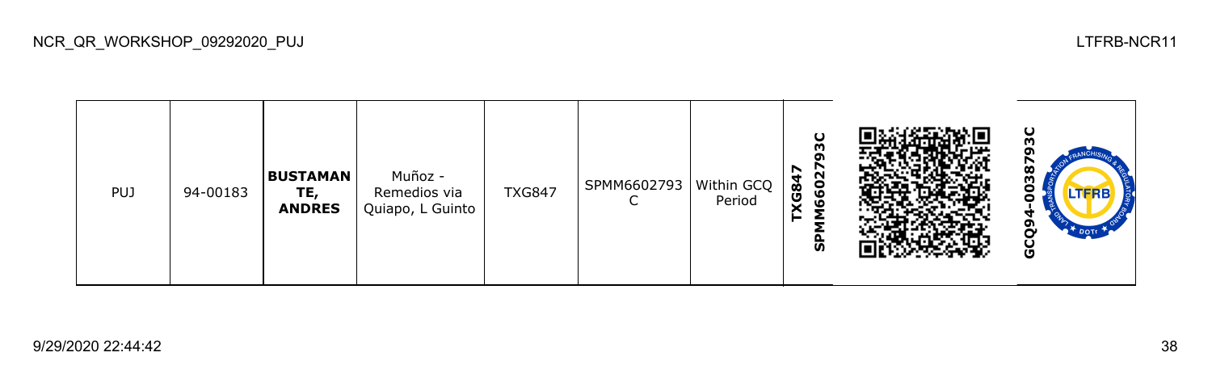|  | <b>PUJ</b> | 94-00183 | <b>BUSTAMAN</b><br>TE,<br><b>ANDRES</b> | Muñoz -<br>Remedios via<br>Quiapo, L Guinto | <b>TXG847</b> | SPMM6602793   Within GCQ | Period | δC<br>ຕ<br>66027<br><b>KG847</b><br>င္ဟ |  | ပ<br>38<br>n<br><b>LTFRB</b><br>$\mathbf{P}^*$ DOTE<br>မိ |
|--|------------|----------|-----------------------------------------|---------------------------------------------|---------------|--------------------------|--------|-----------------------------------------|--|-----------------------------------------------------------|
|--|------------|----------|-----------------------------------------|---------------------------------------------|---------------|--------------------------|--------|-----------------------------------------|--|-----------------------------------------------------------|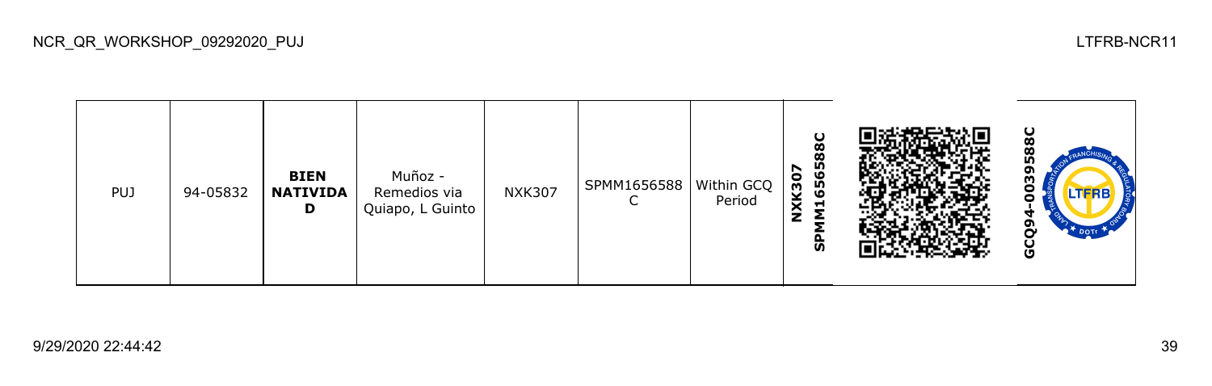| <b>PUJ</b> | 94-05832 | <b>BIEN</b><br><b>NATIVIDA</b><br>D | Muñoz -<br>Remedios via<br>Quiapo, L Guinto | <b>NXK307</b> | SPMM1656588   Within GCQ | Period | 1656588C<br><b>NXK307</b><br>င္ဟ |  | ပ<br>o<br>m<br>n<br><b>LTFRB</b><br>မိ |
|------------|----------|-------------------------------------|---------------------------------------------|---------------|--------------------------|--------|----------------------------------|--|----------------------------------------|
|------------|----------|-------------------------------------|---------------------------------------------|---------------|--------------------------|--------|----------------------------------|--|----------------------------------------|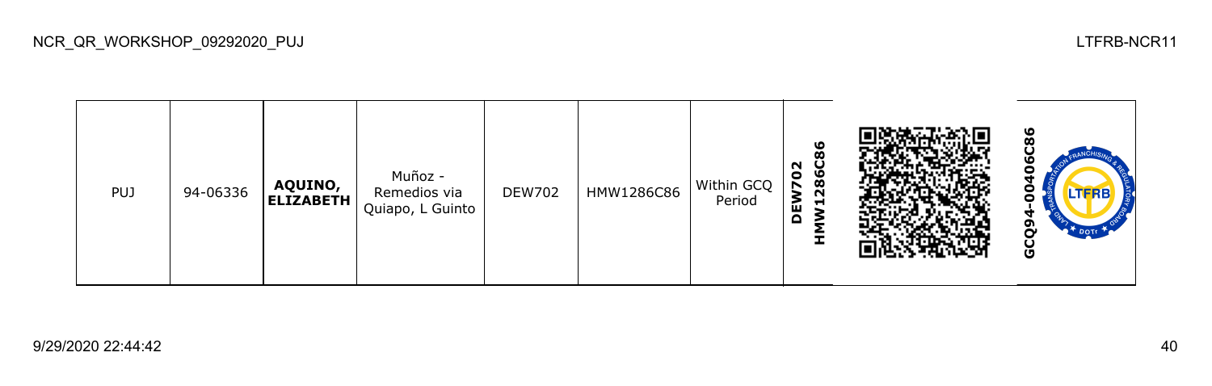**C86 GCQ94-00406C86HMW1286C86 DEW702** Muñoz - DEW702 HMW1286C86 Within GCQ PUJ 94-06336 **AQUINO, ELIZABETH** Remedios via ဠ Period Quiapo, L Guinto GCQ9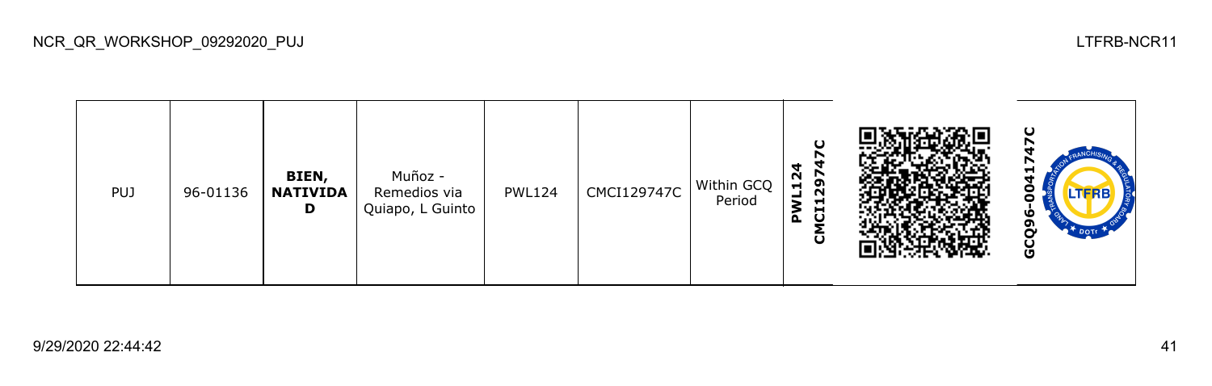**GCQ96-0041747CCMCI129747C PWL124 BIEN,**  Muñoz - PWL124 | CMCI129747C | Within GCQ PUJ 96-01136 **NATIVIDA** Remedios via Period ō Quiapo, L Guinto **D** GCQ9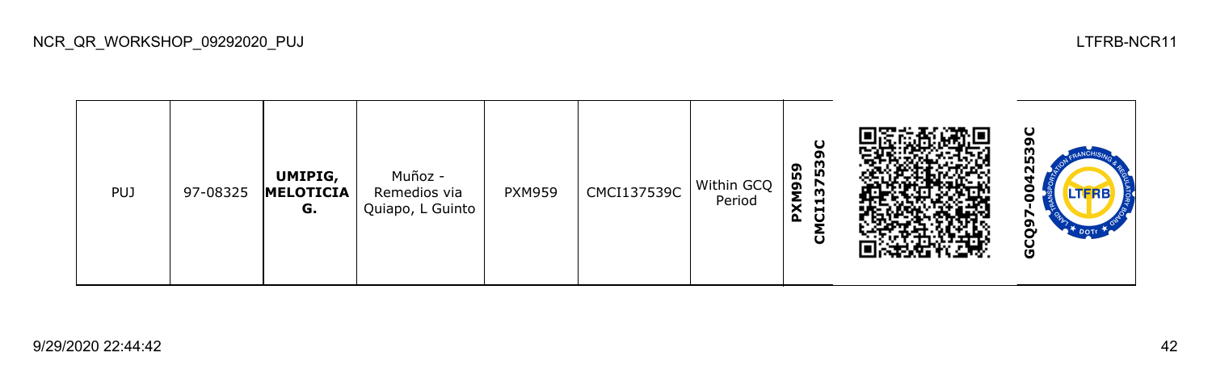| <b>PUJ</b> | 97-08325 | UMIPIG,<br>MELOTICIA<br>G. | Muñoz -<br>Remedios via<br>Quiapo, L Guinto | <b>PXM959</b> | CMCI137539C | Within GCQ<br>Period | ပ<br>໑<br>3753<br><b>PXM959</b><br>$\overline{d}$<br>ō |  | ပ<br>က္က<br>N<br>┓<br>o<br>LTFRB<br>o<br>თ<br><b>DOTE</b><br>o<br>မ္ပ |
|------------|----------|----------------------------|---------------------------------------------|---------------|-------------|----------------------|--------------------------------------------------------|--|-----------------------------------------------------------------------|
|------------|----------|----------------------------|---------------------------------------------|---------------|-------------|----------------------|--------------------------------------------------------|--|-----------------------------------------------------------------------|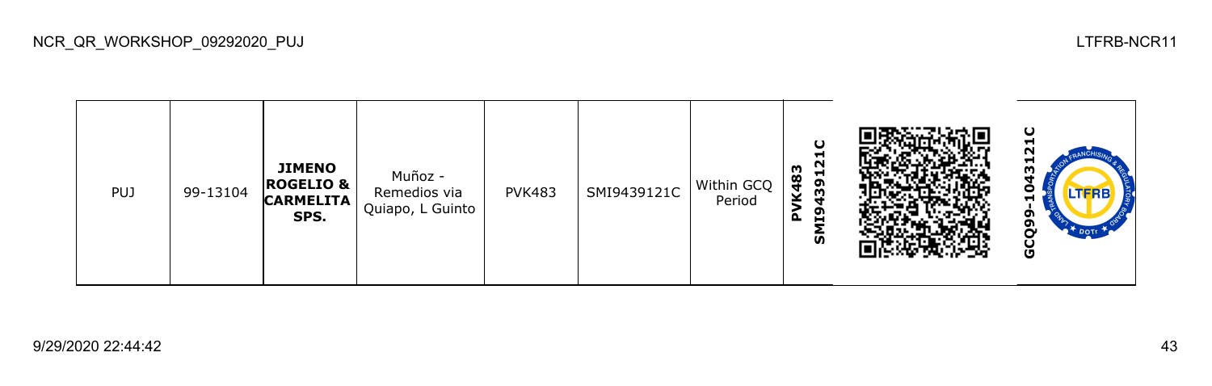